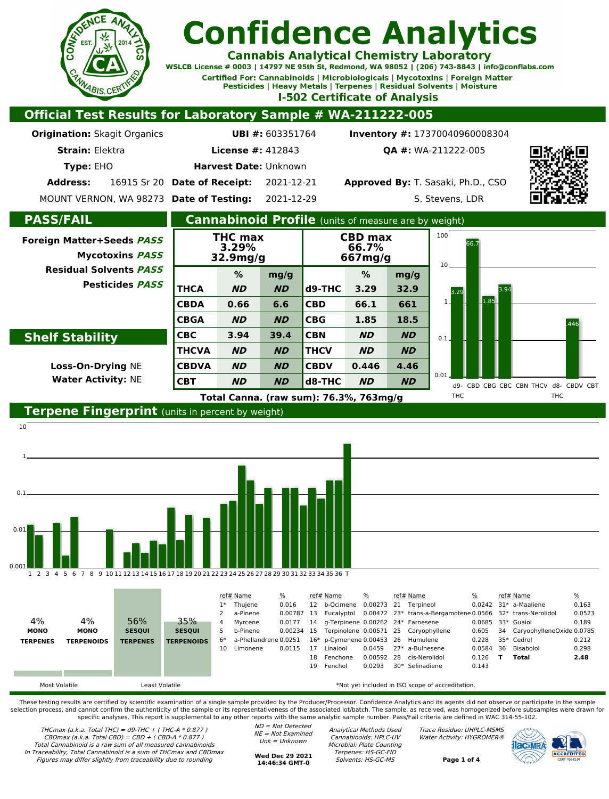

**Cannabis Analytical Chemistry Laboratory** 

WSLCB License # 0003 | 14797 NE 95th St, Redmond, WA 98052 | (206) 743-8843 | info@conflabs.com Certified For: Cannabinoids | Microbiologicals | Mycotoxins | Foreign Matter Pesticides | Heavy Metals | Terpenes | Residual Solvents | Moisture

**I-502 Certificate of Analysis** 

## **Official Test Results for Laboratory Sample # WA-211222-005**

| <b>Origination: Skagit Organics</b>  |                                        |                                                                                                      | UBI #: 603351764                          |                                                                                                       |                                                                                         |                                                                                                      | Inventory #: 17370040960008304                                                                                                            |                                                                                                                                                       |                 |                                                               |                                                                                                                                          |                           |                                                                       |
|--------------------------------------|----------------------------------------|------------------------------------------------------------------------------------------------------|-------------------------------------------|-------------------------------------------------------------------------------------------------------|-----------------------------------------------------------------------------------------|------------------------------------------------------------------------------------------------------|-------------------------------------------------------------------------------------------------------------------------------------------|-------------------------------------------------------------------------------------------------------------------------------------------------------|-----------------|---------------------------------------------------------------|------------------------------------------------------------------------------------------------------------------------------------------|---------------------------|-----------------------------------------------------------------------|
| <b>Strain: Elektra</b>               |                                        |                                                                                                      | <b>License #: 412843</b>                  |                                                                                                       |                                                                                         |                                                                                                      | QA #: WA-211222-005                                                                                                                       |                                                                                                                                                       |                 |                                                               |                                                                                                                                          |                           |                                                                       |
| Type: EHO                            |                                        |                                                                                                      | Harvest Date: Unknown                     |                                                                                                       |                                                                                         |                                                                                                      |                                                                                                                                           |                                                                                                                                                       |                 |                                                               |                                                                                                                                          |                           |                                                                       |
|                                      | <b>Address:</b>                        | 16915 Sr 20 Date of Receipt:                                                                         |                                           |                                                                                                       | 2021-12-21                                                                              |                                                                                                      | Approved By: T. Sasaki, Ph.D., CSO                                                                                                        |                                                                                                                                                       |                 |                                                               |                                                                                                                                          |                           |                                                                       |
|                                      |                                        | MOUNT VERNON, WA 98273 Date of Testing:                                                              |                                           |                                                                                                       | 2021-12-29                                                                              |                                                                                                      |                                                                                                                                           |                                                                                                                                                       | S. Stevens, LDR |                                                               |                                                                                                                                          |                           |                                                                       |
| <b>PASS/FAIL</b>                     |                                        |                                                                                                      |                                           | <b>Cannabinoid Profile</b> (units of measure are by weight)                                           |                                                                                         |                                                                                                      |                                                                                                                                           |                                                                                                                                                       |                 |                                                               |                                                                                                                                          |                           |                                                                       |
|                                      |                                        | Foreign Matter+Seeds PASS<br><b>Mycotoxins PASS</b>                                                  |                                           | <b>THC max</b><br>3.29%<br>32.9mg/g                                                                   |                                                                                         |                                                                                                      | <b>CBD max</b><br>66.7%<br>667mg/g                                                                                                        |                                                                                                                                                       | 100<br>10       | 56.7                                                          |                                                                                                                                          |                           |                                                                       |
|                                      |                                        | <b>Residual Solvents PASS</b>                                                                        |                                           | %                                                                                                     | mg/g                                                                                    |                                                                                                      | %                                                                                                                                         | mg/g                                                                                                                                                  |                 |                                                               |                                                                                                                                          |                           |                                                                       |
|                                      |                                        | Pesticides PASS                                                                                      | ТНСА                                      | <b>ND</b>                                                                                             | <b>ND</b>                                                                               | d9-THC                                                                                               | 3.29                                                                                                                                      | 32.9                                                                                                                                                  | 3.94<br>3.29    |                                                               |                                                                                                                                          |                           |                                                                       |
|                                      |                                        |                                                                                                      | <b>CBDA</b>                               | 0.66                                                                                                  | 6.6                                                                                     | <b>CBD</b>                                                                                           | 66.1                                                                                                                                      | 661                                                                                                                                                   | $\mathbf{1}$    | 1.85                                                          |                                                                                                                                          |                           |                                                                       |
|                                      |                                        |                                                                                                      | <b>CBGA</b>                               | <b>ND</b>                                                                                             | <b>ND</b>                                                                               | <b>CBG</b>                                                                                           | 1.85                                                                                                                                      | 18.5                                                                                                                                                  |                 |                                                               |                                                                                                                                          |                           |                                                                       |
|                                      | <b>Shelf Stability</b>                 |                                                                                                      | свс                                       | 3.94                                                                                                  | 39.4                                                                                    | <b>CBN</b>                                                                                           | <b>ND</b>                                                                                                                                 | <b>ND</b>                                                                                                                                             | 0.1.            |                                                               |                                                                                                                                          |                           |                                                                       |
|                                      |                                        |                                                                                                      | <b>THCVA</b>                              | <b>ND</b>                                                                                             | <b>ND</b>                                                                               | <b>THCV</b>                                                                                          | <b>ND</b>                                                                                                                                 | <b>ND</b>                                                                                                                                             |                 |                                                               |                                                                                                                                          |                           |                                                                       |
| <b>Loss-On-Drying NE</b>             |                                        |                                                                                                      | <b>CBDVA</b>                              | <b>ND</b>                                                                                             | <b>ND</b>                                                                               | <b>CBDV</b>                                                                                          | 0.446                                                                                                                                     | 4.46                                                                                                                                                  | 0.01            |                                                               |                                                                                                                                          |                           |                                                                       |
|                                      | <b>Water Activity: NE</b>              |                                                                                                      | <b>CBT</b>                                | <b>ND</b><br><b>ND</b><br>d8-THC<br><b>ND</b><br><b>ND</b><br>d9- CBD CBG CBC CBN THCV d8- CBDV CBT   |                                                                                         |                                                                                                      |                                                                                                                                           |                                                                                                                                                       |                 |                                                               |                                                                                                                                          |                           |                                                                       |
|                                      |                                        |                                                                                                      |                                           | Total Canna. (raw sum): 76.3%, 763mg/g                                                                |                                                                                         |                                                                                                      |                                                                                                                                           |                                                                                                                                                       | <b>THC</b>      |                                                               |                                                                                                                                          | THC                       |                                                                       |
|                                      |                                        | Terpene Fingerprint (units in percent by weight)                                                     |                                           |                                                                                                       |                                                                                         |                                                                                                      |                                                                                                                                           |                                                                                                                                                       |                 |                                                               |                                                                                                                                          |                           |                                                                       |
| 10                                   |                                        |                                                                                                      |                                           |                                                                                                       |                                                                                         |                                                                                                      |                                                                                                                                           |                                                                                                                                                       |                 |                                                               |                                                                                                                                          |                           |                                                                       |
|                                      |                                        |                                                                                                      |                                           |                                                                                                       |                                                                                         |                                                                                                      |                                                                                                                                           |                                                                                                                                                       |                 |                                                               |                                                                                                                                          |                           |                                                                       |
|                                      |                                        |                                                                                                      |                                           |                                                                                                       |                                                                                         |                                                                                                      |                                                                                                                                           |                                                                                                                                                       |                 |                                                               |                                                                                                                                          |                           |                                                                       |
|                                      |                                        |                                                                                                      |                                           |                                                                                                       |                                                                                         |                                                                                                      |                                                                                                                                           |                                                                                                                                                       |                 |                                                               |                                                                                                                                          |                           |                                                                       |
| 0.1                                  |                                        |                                                                                                      |                                           |                                                                                                       |                                                                                         |                                                                                                      |                                                                                                                                           |                                                                                                                                                       |                 |                                                               |                                                                                                                                          |                           |                                                                       |
|                                      |                                        |                                                                                                      |                                           |                                                                                                       |                                                                                         |                                                                                                      |                                                                                                                                           |                                                                                                                                                       |                 |                                                               |                                                                                                                                          |                           |                                                                       |
| 0.01                                 |                                        |                                                                                                      |                                           |                                                                                                       |                                                                                         |                                                                                                      |                                                                                                                                           |                                                                                                                                                       |                 |                                                               |                                                                                                                                          |                           |                                                                       |
|                                      |                                        |                                                                                                      |                                           |                                                                                                       |                                                                                         |                                                                                                      |                                                                                                                                           |                                                                                                                                                       |                 |                                                               |                                                                                                                                          |                           |                                                                       |
| 0.001                                |                                        |                                                                                                      |                                           |                                                                                                       |                                                                                         |                                                                                                      |                                                                                                                                           |                                                                                                                                                       |                 |                                                               |                                                                                                                                          |                           |                                                                       |
|                                      |                                        | 1 2 3 4 5 6 7 8 9 10 11 12 13 14 15 16 17 18 19 20 21 22 23 24 25 26 27 28 29 30 31 32 33 34 35 36 T |                                           |                                                                                                       |                                                                                         |                                                                                                      |                                                                                                                                           |                                                                                                                                                       |                 |                                                               |                                                                                                                                          |                           |                                                                       |
| 4%<br><b>MONO</b><br><b>TERPENES</b> | 4%<br><b>MONO</b><br><b>TERPENOIDS</b> | 56%<br><b>SESOUI</b><br><b>TERPENES</b>                                                              | 35%<br><b>SESQUI</b><br><b>TERPENOIDS</b> | ref# Name<br>$1*$<br>Thujene<br>a-Pinene<br>2<br>4<br>Myrcene<br>5<br>b-Pinene<br>$6*$<br>10 Limonene | <u>%</u><br>0.016<br>0.00787 13<br>0.0177<br>0.00234<br>a-Phellandrene 0.0251<br>0.0115 | ref# Name<br>12<br>Eucalyptol<br>14<br>15<br>$16*$<br>17<br>Linalool<br>18<br>Fenchone<br>19 Fenchol | $\frac{\%}{\%}$<br>b-Ocimene 0.00273 21<br>q-Terpinene 0.00262 24* Farnesene<br>Terpinolene 0.00571 25<br>p-Cymenene 0.00453 26<br>0.0459 | ref# Name<br>Terpineol<br>0.00472 23* trans-a-Bergamotene 0.0566<br>Humulene<br>27* a-Bulnesene<br>0.00592 28 cis-Nerolidol<br>0.0293 30* Selinadiene | Caryophyllene   | $\frac{\%}{\%}$<br>0.605<br>0.228<br>0.0584<br>0.126<br>0.143 | ref# Name<br>0.0242 31* a-Maaliene<br>32* trans-Nerolidol<br>0.0685 33* Guaiol<br>34<br>Cedrol<br>$35*$<br>36<br>Bisabolol<br>т<br>Total | CaryophylleneOxide 0.0785 | $\frac{\%}{\%}$<br>0.163<br>0.0523<br>0.189<br>0.212<br>0.298<br>2.48 |

These testing results are certified by scientific examination of a single sample provided by the Producer/Processor. Confidence Analytics and its agents did not observe or participate in the sample selection process, and cannot confirm the authenticity of the sample or its representativeness of the associated lot/batch. The sample, as received, was homogenized before subsamples were drawn for specific analyses. This report is supplemental to any other reports with the same analytic sample number. Pass/Fail criteria are defined in WAC 314-55-102.

THCmax (a.k.a. Total THC) <sup>=</sup> d9-THC + ( THC-A \* 0.877 ) CBDmax (a.k.a. Total CBD) <sup>=</sup> CBD + ( CBD-A \* 0.877 ) Total Cannabinoid is a raw sum of all measured cannabinoids In Traceability, Total Cannabinoid is <sup>a</sup> sum of THCmax and CBDmax Figures may differ slightly from traceability due to rounding

 $ND = Not$  Detected  $NF = Not$  Fxamined  $Unk = Unknown$ **Wed Dec 29 2021**

Most Volatile Least Volatile Least Volatile Least Volatile Accreditation.

**14:46:34 GMT-0**

Analytical Methods Used Cannabinoids: HPLC-UV Microbial: Plate Counting Terpenes: HS-GC-FID Solvents: HS-GC-MS

Trace Residue: UHPLC-MSMS Water Activity: HYGROMER® **Page 1 of 4**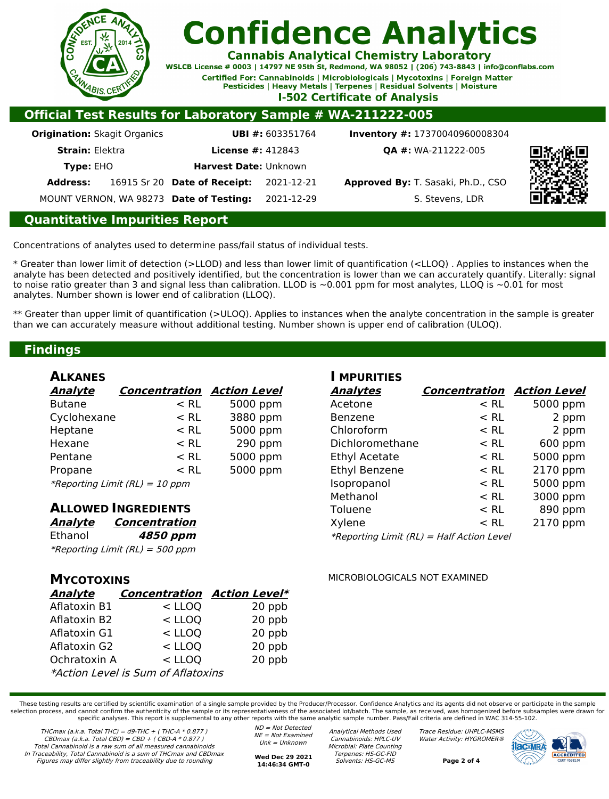

**Cannabis Analytical Chemistry Laboratory** 

WSLCB License # 0003 | 14797 NE 95th St, Redmond, WA 98052 | (206) 743-8843 | info@conflabs.com Certified For: Cannabinoids | Microbiologicals | Mycotoxins | Foreign Matter Pesticides | Heavy Metals | Terpenes | Residual Solvents | Moisture

**I-502 Certificate of Analysis** 

## **Official Test Results for Laboratory Sample # WA-211222-005**

|                | <b>Inventory #: 17370040960008304</b> | <b>UBI #: 603351764</b> |                                         | <b>Origination: Skagit Organics</b> |                 |  |
|----------------|---------------------------------------|-------------------------|-----------------------------------------|-------------------------------------|-----------------|--|
| ▣              | <b>QA #: WA-211222-005</b>            |                         | <b>License #: 412843</b>                | <b>Strain: Elektra</b>              |                 |  |
| 滚              |                                       |                         | <b>Harvest Date: Unknown</b>            | <b>Type: EHO</b>                    |                 |  |
|                | Approved By: T. Sasaki, Ph.D., CSO    | 2021-12-21              | 16915 Sr 20 Date of Receipt:            |                                     | <b>Address:</b> |  |
| $\blacksquare$ | S. Stevens, LDR                       | 2021-12-29              | MOUNT VERNON, WA 98273 Date of Testing: |                                     |                 |  |
|                |                                       |                         |                                         |                                     |                 |  |

## **Quantitative Impurities Report**

Concentrations of analytes used to determine pass/fail status of individual tests.

\* Greater than lower limit of detection (>LLOD) and less than lower limit of quantification (<LLOQ) . Applies to instances when the analyte has been detected and positively identified, but the concentration is lower than we can accurately quantify. Literally: signal to noise ratio greater than 3 and signal less than calibration. LLOD is  $\sim$ 0.001 ppm for most analytes, LLOO is  $\sim$ 0.01 for most analytes. Number shown is lower end of calibration (LLOQ).

\*\* Greater than upper limit of quantification (>ULOQ). Applies to instances when the analyte concentration in the sample is greater than we can accurately measure without additional testing. Number shown is upper end of calibration (ULOQ).

## **Findings**

## **ALKANES**

| <b>Analyte</b> | <b>Concentration Action Level</b> |           |
|----------------|-----------------------------------|-----------|
| <b>Butane</b>  | $<$ RL                            | 5000 ppm  |
| Cyclohexane    | $<$ RL                            | 3880 ppm  |
| Heptane        | $<$ RL                            | 5000 ppm  |
| Hexane         | $<$ RL                            | $290$ ppm |
| Pentane        | $<$ RL                            | 5000 ppm  |
| Propane        | $<$ RL                            | 5000 ppm  |
|                |                                   |           |

\*Reporting Limit (RL) <sup>=</sup> 10 ppm

### **ALLOWED INGREDIENTS**

| <u>Analyte</u> | <b>Concentration</b>            |
|----------------|---------------------------------|
| Ethanol        | 4850 ppm                        |
|                | *Reporting Limit (RL) = 500 ppm |

## **MYCOTOXINS**

| Analyte                            | <b>Concentration Action Level*</b> |        |  |  |  |  |  |
|------------------------------------|------------------------------------|--------|--|--|--|--|--|
| Aflatoxin B1                       | $<$ LLOO                           | 20 ppb |  |  |  |  |  |
| Aflatoxin B2                       | $<$ LLOO                           | 20 ppb |  |  |  |  |  |
| Aflatoxin G1                       | $<$ LLOO                           | 20 ppb |  |  |  |  |  |
| Aflatoxin G2                       | $<$ LLOO                           | 20 ppb |  |  |  |  |  |
| Ochratoxin A                       | $<$ LLOO                           | 20 ppb |  |  |  |  |  |
| *Action Level is Sum of Aflatoxins |                                    |        |  |  |  |  |  |

## **I MPURITIES**

| Analytes                                  | <b>Concentration Action Level</b> |          |
|-------------------------------------------|-----------------------------------|----------|
| Acetone                                   | $<$ RL                            | 5000 ppm |
| Benzene                                   | $<$ RL                            | 2 ppm    |
| Chloroform                                | $<$ RL                            | 2 ppm    |
| Dichloromethane                           | $<$ RL                            | 600 ppm  |
| <b>Ethyl Acetate</b>                      | $<$ RL                            | 5000 ppm |
| Ethyl Benzene                             | $<$ RL                            | 2170 ppm |
| Isopropanol                               | $<$ RI                            | 5000 ppm |
| Methanol                                  | $<$ RI                            | 3000 ppm |
| Toluene                                   | $<$ RL                            | 890 ppm  |
| Xylene                                    | $<$ RL                            | 2170 ppm |
| *Reporting Limit (RL) = Half Action Level |                                   |          |

#### MICROBIOLOGICALS NOT EXAMINED

These testing results are certified by scientific examination of a single sample provided by the Producer/Processor. Confidence Analytics and its agents did not observe or participate in the sample selection process, and cannot confirm the authenticity of the sample or its representativeness of the associated lot/batch. The sample, as received, was homogenized before subsamples were drawn for specific analyses. This report is supplemental to any other reports with the same analytic sample number. Pass/Fail criteria are defined in WAC 314-55-102.

THCmax (a.k.a. Total THC) =  $d9$ -THC + (THC-A  $*$  0.877) CBDmax (a.k.a. Total CBD) =  $CBD + (CBD-A * 0.877)$ Total Cannabinoid is a raw sum of all measured cannabinoids In Traceability, Total Cannabinoid is <sup>a</sup> sum of THCmax and CBDmax Figures may differ slightly from traceability due to rounding

ND <sup>=</sup> Not Detected NE <sup>=</sup> Not Examined  $Unk = Unknown$ **Wed Dec 29 2021**

**14:46:34 GMT-0**

Analytical Methods Used Cannabinoids: HPI C-UV Microbial: Plate Counting Terpenes: HS-GC-FID Solvents: HS-GC-MS

Trace Residue: UHPLC-MSMS Water Activity: HYGROMER®



**Page 2 of 4**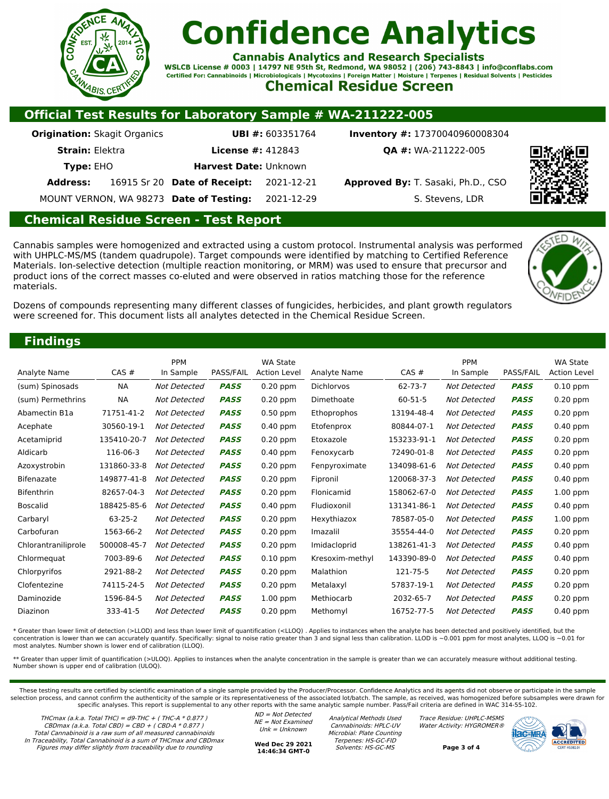

**Cannabis Analytics and Research Specialists** WSLCB License # 0003 | 14797 NE 95th St, Redmond, WA 98052 | (206) 743-8843 | info@conflabs.com Certified For: Cannabinoids | Microbiologicals | Mycotoxins | Foreign Matter | Moisture | Terpenes | Residual Solvents | Pesticides

**Chemical Residue Screen** 

## **Official Test Results for Laboratory Sample # WA-211222-005**

|                                         |            | Inventory #: 17370040960008304                                                                    |  |  |  |
|-----------------------------------------|------------|---------------------------------------------------------------------------------------------------|--|--|--|
|                                         |            | <b>OA #: WA-211222-005</b>                                                                        |  |  |  |
|                                         |            |                                                                                                   |  |  |  |
| 16915 Sr 20 Date of Receipt:            |            | Approved By: T. Sasaki, Ph.D., CSO                                                                |  |  |  |
| MOUNT VERNON, WA 98273 Date of Testing: | 2021-12-29 | S. Stevens, LDR                                                                                   |  |  |  |
|                                         |            | <b>UBI #: 603351764</b><br><b>License #: 412843</b><br><b>Harvest Date: Unknown</b><br>2021-12-21 |  |  |  |



## **Chemical Residue Screen - Test Report**

Cannabis samples were homogenized and extracted using a custom protocol. Instrumental analysis was performed with UHPLC-MS/MS (tandem quadrupole). Target compounds were identified by matching to Certified Reference Materials. Ion-selective detection (multiple reaction monitoring, or MRM) was used to ensure that precursor and product ions of the correct masses co-eluted and were observed in ratios matching those for the reference materials.



Dozens of compounds representing many different classes of fungicides, herbicides, and plant growth regulators were screened for. This document lists all analytes detected in the Chemical Residue Screen.

## **Findings**

| Analyte Name        | CAS#          | PPM<br>In Sample    | PASS/FAIL   | <b>WA State</b><br><b>Action Level</b> | Analyte Name      | CAS#          | PPM<br>In Sample    | PASS/FAIL   | <b>WA State</b><br><b>Action Level</b> |
|---------------------|---------------|---------------------|-------------|----------------------------------------|-------------------|---------------|---------------------|-------------|----------------------------------------|
| (sum) Spinosads     | <b>NA</b>     | <b>Not Detected</b> | <b>PASS</b> | $0.20$ ppm                             | <b>Dichlorvos</b> | 62-73-7       | Not Detected        | <b>PASS</b> | $0.10$ ppm                             |
| (sum) Permethrins   | <b>NA</b>     | Not Detected        | <b>PASS</b> | $0.20$ ppm                             | Dimethoate        | $60 - 51 - 5$ | <b>Not Detected</b> | <b>PASS</b> | $0.20$ ppm                             |
| Abamectin B1a       | 71751-41-2    | <b>Not Detected</b> | <b>PASS</b> | $0.50$ ppm                             | Ethoprophos       | 13194-48-4    | <b>Not Detected</b> | <b>PASS</b> | $0.20$ ppm                             |
| Acephate            | 30560-19-1    | <b>Not Detected</b> | <b>PASS</b> | $0.40$ ppm                             | Etofenprox        | 80844-07-1    | <b>Not Detected</b> | <b>PASS</b> | $0.40$ ppm                             |
| Acetamiprid         | 135410-20-7   | Not Detected        | <b>PASS</b> | $0.20$ ppm                             | Etoxazole         | 153233-91-1   | <b>Not Detected</b> | <b>PASS</b> | $0.20$ ppm                             |
| Aldicarb            | 116-06-3      | <b>Not Detected</b> | <b>PASS</b> | $0.40$ ppm                             | Fenoxycarb        | 72490-01-8    | <b>Not Detected</b> | <b>PASS</b> | $0.20$ ppm                             |
| Azoxystrobin        | 131860-33-8   | <b>Not Detected</b> | <b>PASS</b> | $0.20$ ppm                             | Fenpyroximate     | 134098-61-6   | <b>Not Detected</b> | <b>PASS</b> | $0.40$ ppm                             |
| Bifenazate          | 149877-41-8   | Not Detected        | <b>PASS</b> | $0.20$ ppm                             | Fipronil          | 120068-37-3   | <b>Not Detected</b> | <b>PASS</b> | $0.40$ ppm                             |
| <b>Bifenthrin</b>   | 82657-04-3    | Not Detected        | <b>PASS</b> | $0.20$ ppm                             | Flonicamid        | 158062-67-0   | <b>Not Detected</b> | <b>PASS</b> | $1.00$ ppm                             |
| <b>Boscalid</b>     | 188425-85-6   | Not Detected        | <b>PASS</b> | $0.40$ ppm                             | Fludioxonil       | 131341-86-1   | Not Detected        | <b>PASS</b> | $0.40$ ppm                             |
| Carbaryl            | $63 - 25 - 2$ | <b>Not Detected</b> | <b>PASS</b> | $0.20$ ppm                             | Hexythiazox       | 78587-05-0    | <b>Not Detected</b> | <b>PASS</b> | $1.00$ ppm                             |
| Carbofuran          | 1563-66-2     | Not Detected        | <b>PASS</b> | $0.20$ ppm                             | Imazalil          | 35554-44-0    | <b>Not Detected</b> | <b>PASS</b> | $0.20$ ppm                             |
| Chlorantraniliprole | 500008-45-7   | <b>Not Detected</b> | <b>PASS</b> | $0.20$ ppm                             | Imidacloprid      | 138261-41-3   | <b>Not Detected</b> | <b>PASS</b> | $0.40$ ppm                             |
| Chlormeguat         | 7003-89-6     | Not Detected        | <b>PASS</b> | $0.10$ ppm                             | Kresoxim-methyl   | 143390-89-0   | <b>Not Detected</b> | <b>PASS</b> | $0.40$ ppm                             |
| Chlorpyrifos        | 2921-88-2     | Not Detected        | <b>PASS</b> | $0.20$ ppm                             | Malathion         | 121-75-5      | <b>Not Detected</b> | <b>PASS</b> | $0.20$ ppm                             |
| Clofentezine        | 74115-24-5    | <b>Not Detected</b> | <b>PASS</b> | $0.20$ ppm                             | Metalaxyl         | 57837-19-1    | <b>Not Detected</b> | <b>PASS</b> | $0.20$ ppm                             |
| Daminozide          | 1596-84-5     | Not Detected        | <b>PASS</b> | $1.00$ ppm                             | Methiocarb        | 2032-65-7     | <b>Not Detected</b> | <b>PASS</b> | $0.20$ ppm                             |
| Diazinon            | 333-41-5      | Not Detected        | <b>PASS</b> | $0.20$ ppm                             | Methomyl          | 16752-77-5    | <b>Not Detected</b> | <b>PASS</b> | $0.40$ ppm                             |

\* Greater than lower limit of detection (>LLOD) and less than lower limit of quantification (<LLOQ) . Applies to instances when the analyte has been detected and positively identified, but the concentration is lower than we can accurately quantify. Specifically: signal to noise ratio greater than 3 and signal less than calibration. LLOD is ~0.001 ppm for most analytes, LLOQ is ~0.01 for most analytes. Number shown is lower end of calibration (LLOQ).

\*\* Greater than upper limit of quantification (>ULOQ). Applies to instances when the analyte concentration in the sample is greater than we can accurately measure without additional testing. Number shown is upper end of calibration (ULOQ).

These testing results are certified by scientific examination of a single sample provided by the Producer/Processor. Confidence Analytics and its agents did not observe or participate in the sample selection process, and cannot confirm the authenticity of the sample or its representativeness of the associated lot/batch. The sample, as received, was homogenized before subsamples were drawn for specific analyses. This report is supplemental to any other reports with the same analytic sample number. Pass/Fail criteria are defined in WAC 314-55-102.

THCmax (a.k.a. Total THC) =  $d9$ -THC + (THC-A  $*$  0.877)  $CBDmax (a.k.a. Total CBD) = CBD + ( CBD-A * 0.877)$ Total Cannabinoid is a raw sum of all measured cannabinoids In Traceability, Total Cannabinoid is <sup>a</sup> sum of THCmax and CBDmax Figures may differ slightly from traceability due to rounding

ND <sup>=</sup> Not Detected NE <sup>=</sup> Not Examined  $Unk = Unknown$ 

**Wed Dec 29 2021 14:46:34 GMT-0**

Analytical Methods Used Cannabinoids: HPLC-UV Microbial: Plate Counting Terpenes: HS-GC-FID Solvents: HS-GC-MS

Trace Residue: UHPLC-MSMS Water Activity: HYGROMER®